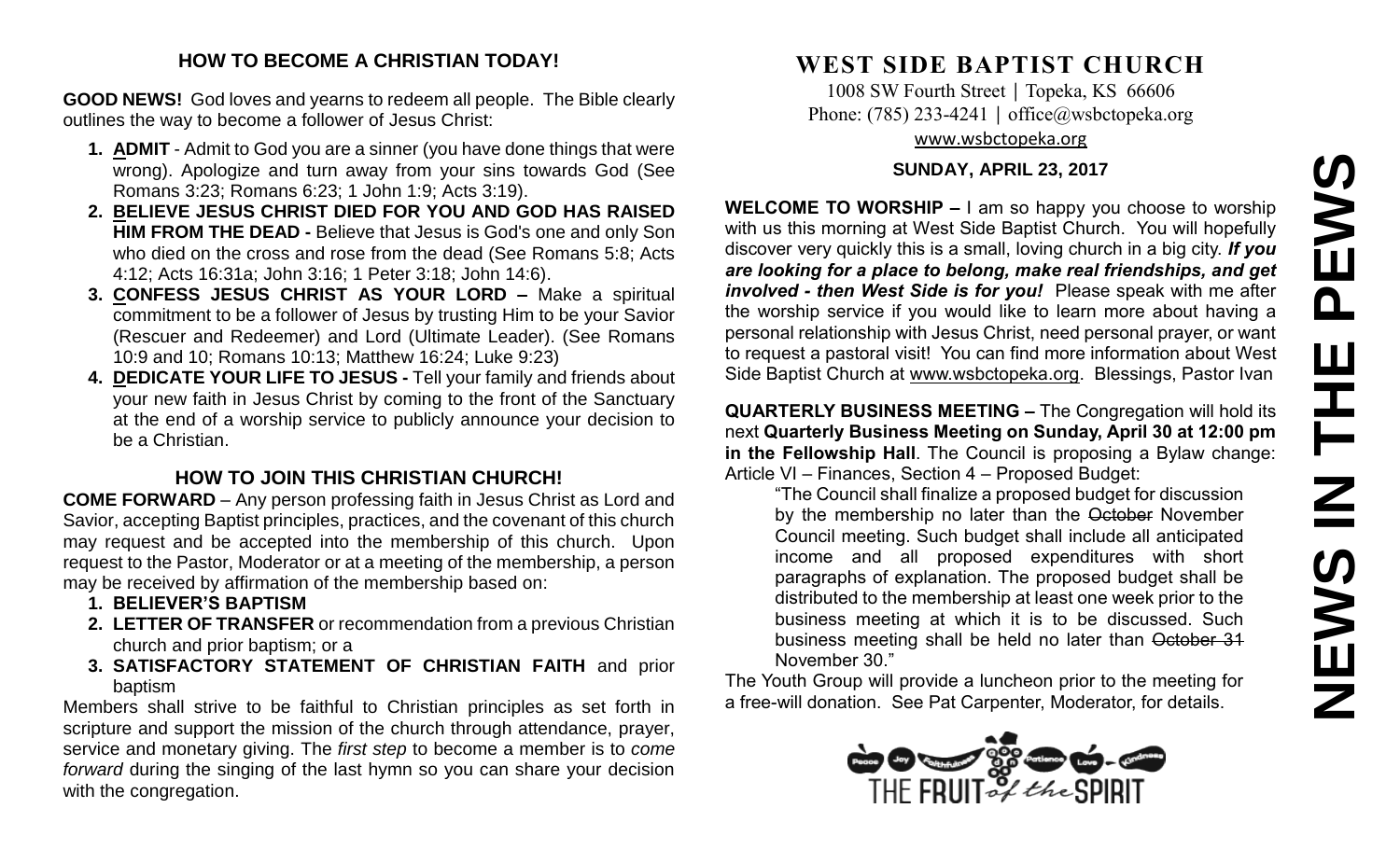## **HOW TO BECOME A CHRISTIAN TODAY!**

**GOOD NEWS!** God loves and yearns to redeem all people. The Bible clearly outlines the way to become a follower of Jesus Christ:

- **1. ADMIT** Admit to God you are a sinner (you have done things that were wrong). Apologize and turn away from your sins towards God (See Romans 3:23; Romans 6:23; 1 John 1:9; Acts 3:19).
- **2. BELIEVE JESUS CHRIST DIED FOR YOU AND GOD HAS RAISED HIM FROM THE DEAD -** Believe that Jesus is God's one and only Son who died on the cross and rose from the dead (See Romans 5:8; Acts 4:12; Acts 16:31a; John 3:16; 1 Peter 3:18; John 14:6).
- **3. CONFESS JESUS CHRIST AS YOUR LORD –** Make a spiritual commitment to be a follower of Jesus by trusting Him to be your Savior (Rescuer and Redeemer) and Lord (Ultimate Leader). (See Romans 10:9 and 10; Romans 10:13; Matthew 16:24; Luke 9:23)
- **4. DEDICATE YOUR LIFE TO JESUS -** Tell your family and friends about your new faith in Jesus Christ by coming to the front of the Sanctuary at the end of a worship service to publicly announce your decision to be a Christian.

# **HOW TO JOIN THIS CHRISTIAN CHURCH!**

**COME FORWARD** – Any person professing faith in Jesus Christ as Lord and Savior, accepting Baptist principles, practices, and the covenant of this church may request and be accepted into the membership of this church. Upon request to the Pastor, Moderator or at a meeting of the membership, a person may be received by affirmation of the membership based on:

- **1. BELIEVER'S BAPTISM**
- **2. LETTER OF TRANSFER** or recommendation from a previous Christian church and prior baptism; or a
- **3. SATISFACTORY STATEMENT OF CHRISTIAN FAITH** and prior baptism

Members shall strive to be faithful to Christian principles as set forth in scripture and support the mission of the church through attendance, prayer, service and monetary giving. The *first step* to become a member is to *come forward* during the singing of the last hymn so you can share your decision with the congregation.

# **WEST SIDE BAPTIST CHURCH**

1008 SW Fourth Street | Topeka, KS 66606 Phone: (785) 233-4241 │ [office@wsbctopeka.org](mailto:office@wsbctopeka.org) [www.wsbctopeka.org](http://www.wsbctopeka.org/)

#### **SUNDAY, APRIL 23, 2017**

**WELCOME TO WORSHIP –** I am so happy you choose to worship with us this morning at West Side Baptist Church. You will hopefully discover very quickly this is a small, loving church in a big city. *If you are looking for a place to belong, make real friendships, and get involved - then West Side is for you!* Please speak with me after the worship service if you would like to learn more about having a personal relationship with Jesus Christ, need personal prayer, or want to request a pastoral visit! You can find more information about West Side Baptist Church at [www.wsbctopeka.org.](http://www.wsbctopeka.org/) Blessings, Pastor Ivan

**QUARTERLY BUSINESS MEETING –** The Congregation will hold its next **Quarterly Business Meeting on Sunday, April 30 at 12:00 pm in the Fellowship Hall**. The Council is proposing a Bylaw change: Article VI – Finances, Section 4 – Proposed Budget:

"The Council shall finalize a proposed budget for discussion by the membership no later than the October November Council meeting. Such budget shall include all anticipated income and all proposed expenditures with short paragraphs of explanation. The proposed budget shall be distributed to the membership at least one week prior to the business meeting at which it is to be discussed. Such business meeting shall be held no later than October 31 November 30."

The Youth Group will provide a luncheon prior to the meeting for a free-will donation. See Pat Carpenter, Moderator, for details.

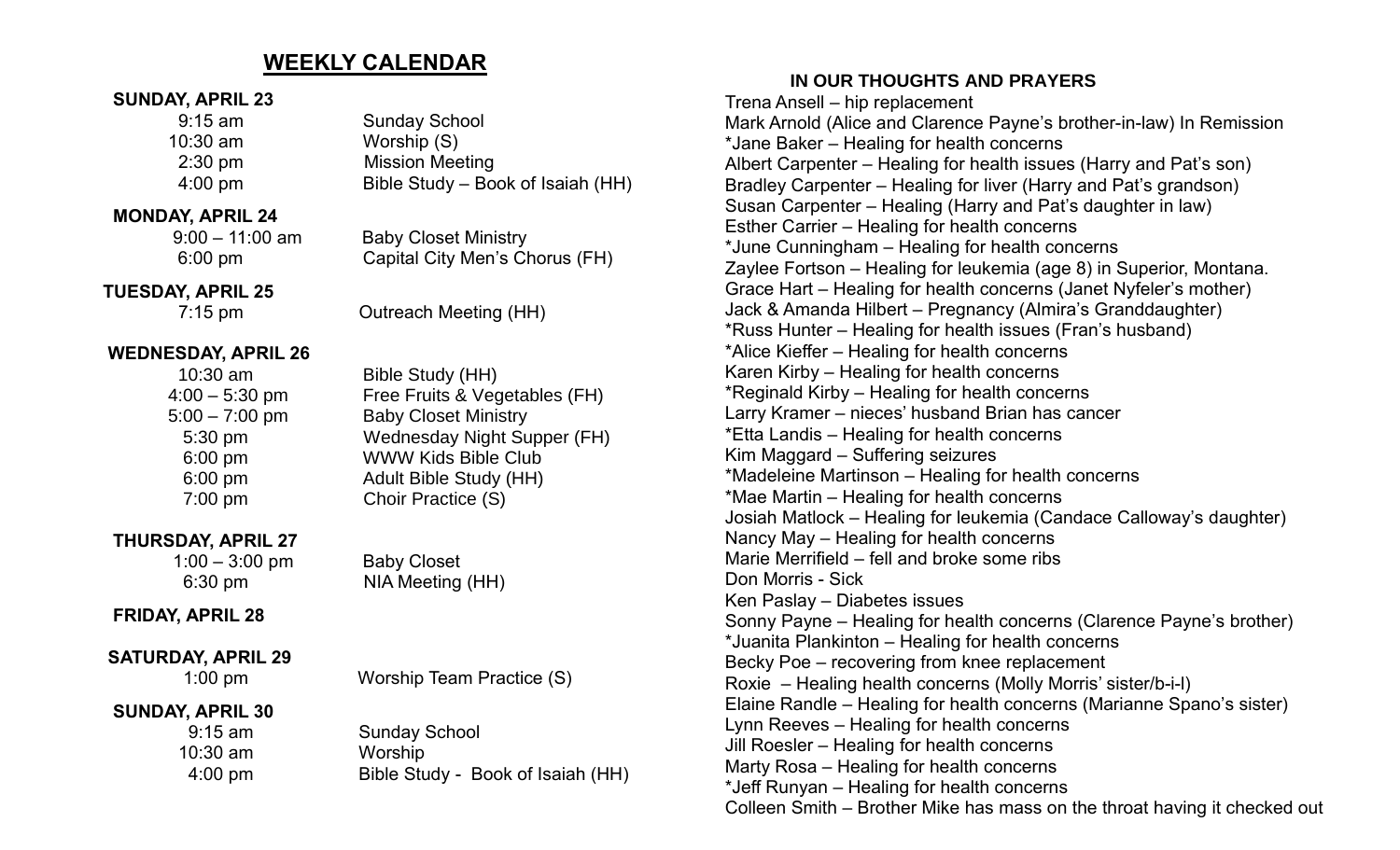# **WEEKLY CALENDAR**

#### **SUNDAY, APRIL 23**

| $9:15$ am         | <b>Sunday School</b>              |
|-------------------|-----------------------------------|
| $10:30$ am        | Worship (S)                       |
| $2:30$ pm         | <b>Mission Meeting</b>            |
| $4:00 \text{ pm}$ | Bible Study – Book of Isaiah (HH) |
|                   |                                   |

### **MONDAY, APRIL 24**

 9:00 – 11:00 am Baby Closet Ministry 6:00 pm Capital City Men's Chorus (FH)

 **TUESDAY, APRIL 25**

7:15 pm Outreach Meeting (HH)

### **WEDNESDAY, APRIL 26**

| 10:30 am         |  |
|------------------|--|
| $4:00 - 5:30$ pm |  |
| $6:00 - 7:00$ pm |  |
| 5:30 pm          |  |
| 6:00 pm          |  |
| $6:00$ pm        |  |
| 7:00 pm          |  |
|                  |  |

## **THURSDAY, APRIL 27**

# **FRIDAY, APRIL 28**

# **SATURDAY, APRIL 29**

1:00 pm Worship Team Practice (S)

### **SUNDAY, APRIL 30**

 9:15 am Sunday School 10:30 am Worship 4:00 pm Bible Study - Book of Isaiah (HH)

# **IN OUR THOUGHTS AND PRAYERS**

Trena Ansell – hip replacement Mark Arnold (Alice and Clarence Payne's brother-in-law) In Remission \*Jane Baker – Healing for health concerns Albert Carpenter – Healing for health issues (Harry and Pat's son) Bradley Carpenter – Healing for liver (Harry and Pat's grandson) Susan Carpenter – Healing (Harry and Pat's daughter in law) Esther Carrier – Healing for health concerns \*June Cunningham – Healing for health concerns Zaylee Fortson – Healing for leukemia (age 8) in Superior, Montana. Grace Hart – Healing for health concerns (Janet Nyfeler's mother) Jack & Amanda Hilbert – Pregnancy (Almira's Granddaughter) \*Russ Hunter – Healing for health issues (Fran's husband) \*Alice Kieffer – Healing for health concerns Karen Kirby – Healing for health concerns \*Reginald Kirby – Healing for health concerns Larry Kramer – nieces' husband Brian has cancer \*Etta Landis – Healing for health concerns Kim Maggard – Suffering seizures \*Madeleine Martinson – Healing for health concerns \*Mae Martin – Healing for health concerns Josiah Matlock – Healing for leukemia (Candace Calloway's daughter) Nancy May – Healing for health concerns Marie Merrifield – fell and broke some ribs Don Morris - Sick Ken Paslay – Diabetes issues Sonny Payne – Healing for health concerns (Clarence Payne's brother) \*Juanita Plankinton – Healing for health concerns Becky Poe – recovering from knee replacement Roxie – Healing health concerns (Molly Morris' sister/b-i-l) Elaine Randle – Healing for health concerns (Marianne Spano's sister) Lynn Reeves – Healing for health concerns Jill Roesler – Healing for health concerns Marty Rosa – Healing for health concerns \*Jeff Runyan – Healing for health concerns Colleen Smith – Brother Mike has mass on the throat having it checked out

Bible Study (HH) 4:00 – 5:30 pm Free Fruits & Vegetables (FH) 5:00 – 7:00 pm Baby Closet Ministry Wednesday Night Supper (FH) WWW Kids Bible Club Adult Bible Study (HH) Choir Practice (S)

 1:00 – 3:00 pm Baby Closet 6:30 pm NIA Meeting (HH)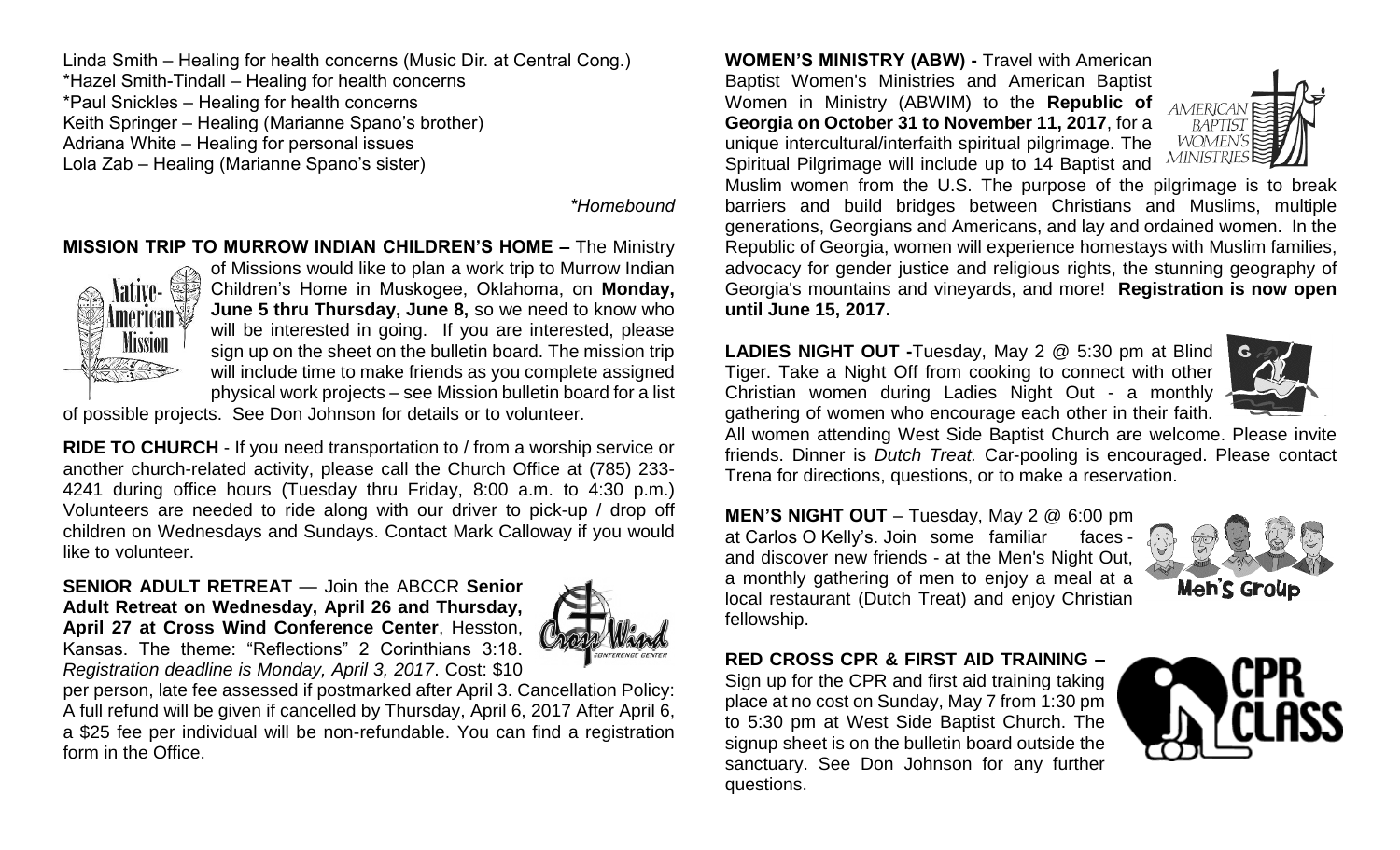Linda Smith – Healing for health concerns (Music Dir. at Central Cong.) \*Hazel Smith-Tindall – Healing for health concerns \*Paul Snickles – Healing for health concerns Keith Springer – Healing (Marianne Spano's brother) Adriana White – Healing for personal issues Lola Zab – Healing (Marianne Spano's sister)

*\*Homebound*

#### **MISSION TRIP TO MURROW INDIAN CHILDREN'S HOME –** The Ministry



of Missions would like to plan a work trip to Murrow Indian Children's Home in Muskogee, Oklahoma, on **Monday, June 5 thru Thursday, June 8,** so we need to know who will be interested in going. If you are interested, please sign up on the sheet on the bulletin board. The mission trip will include time to make friends as you complete assigned physical work projects – see Mission bulletin board for a list

of possible projects. See Don Johnson for details or to volunteer.

**RIDE TO CHURCH** - If you need transportation to / from a worship service or another church-related activity, please call the Church Office at (785) 233- 4241 during office hours (Tuesday thru Friday, 8:00 a.m. to 4:30 p.m.) Volunteers are needed to ride along with our driver to pick-up / drop off children on Wednesdays and Sundays. Contact Mark Calloway if you would like to volunteer.

**SENIOR ADULT RETREAT** — Join the ABCCR **Senior Adult Retreat on Wednesday, April 26 and Thursday, April 27 at Cross Wind Conference Center**, Hesston, Kansas. The theme: "Reflections" 2 Corinthians 3:18. *Registration deadline is Monday, April 3, 2017*. Cost: \$10



per person, late fee assessed if postmarked after April 3. Cancellation Policy: A full refund will be given if cancelled by Thursday, April 6, 2017 After April 6, a \$25 fee per individual will be non-refundable. You can find a registration form in the Office.

**WOMEN'S MINISTRY (ABW) -** Travel with American Baptist Women's Ministries and American Baptist Women in Ministry (ABWIM) to the **Republic of Georgia on October 31 to November 11, 2017**, for a unique intercultural/interfaith spiritual pilgrimage. The Spiritual Pilgrimage will include up to 14 Baptist and



Muslim women from the U.S. The purpose of the pilgrimage is to break barriers and build bridges between Christians and Muslims, multiple generations, Georgians and Americans, and lay and ordained women. In the Republic of Georgia, women will experience homestays with Muslim families, advocacy for gender justice and religious rights, the stunning geography of Georgia's mountains and vineyards, and more! **Registration is now open until June 15, 2017.**

**LADIES NIGHT OUT -**Tuesday, May 2 @ 5:30 pm at Blind Tiger. Take a Night Off from cooking to connect with other Christian women during Ladies Night Out - a monthly gathering of women who encourage each other in their faith.



All women attending West Side Baptist Church are welcome. Please invite friends. Dinner is *Dutch Treat.* Car-pooling is encouraged. Please contact Trena for directions, questions, or to make a reservation.

**MEN'S NIGHT OUT** – Tuesday, May 2 @ 6:00 pm at Carlos O Kelly's. Join some familiar faces and discover new friends - at the Men's Night Out, a monthly gathering of men to enjoy a meal at a local restaurant (Dutch Treat) and enjoy Christian fellowship.



**RED CROSS CPR & FIRST AID TRAINING –**

Sign up for the CPR and first aid training taking place at no cost on Sunday, May 7 from 1:30 pm to 5:30 pm at West Side Baptist Church. The signup sheet is on the bulletin board outside the sanctuary. See Don Johnson for any further questions.